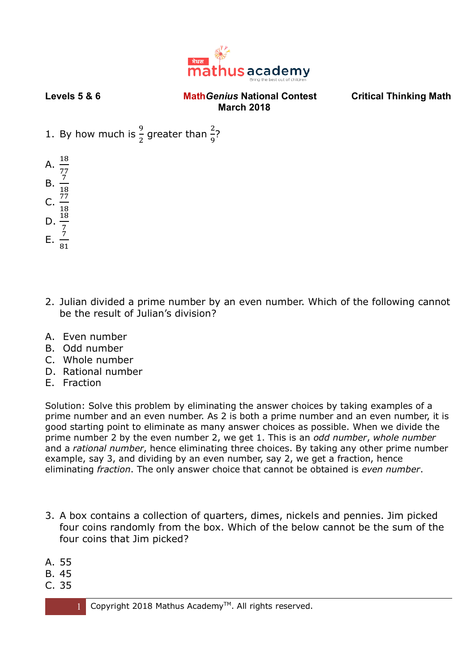

- 1. By how much is  $\frac{9}{2}$  greater than  $\frac{2}{9}$ ?
- A.  $\frac{18}{77}$ <br>B.  $\frac{7}{18}$
- C.  $rac{77}{18}$
- 
- D.  $\frac{18}{7}$
- E.  $\frac{7}{81}$
- 2. Julian divided a prime number by an even number. Which of the following cannot be the result of Julian's division?
- A. Even number
- B. Odd number
- C. Whole number
- D. Rational number
- E. Fraction

Solution: Solve this problem by eliminating the answer choices by taking examples of a prime number and an even number. As 2 is both a prime number and an even number, it is good starting point to eliminate as many answer choices as possible. When we divide the prime number 2 by the even number 2, we get 1. This is an *odd number*, *whole number* and a *rational number*, hence eliminating three choices. By taking any other prime number example, say 3, and dividing by an even number, say 2, we get a fraction, hence eliminating *fraction*. The only answer choice that cannot be obtained is *even number*.

- 3. A box contains a collection of quarters, dimes, nickels and pennies. Jim picked four coins randomly from the box. Which of the below cannot be the sum of the four coins that Jim picked?
- A. 55
- B. 45
- C. 35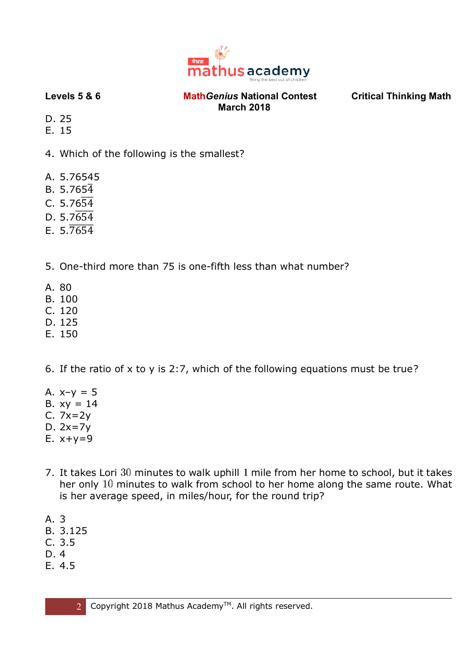

D. 25

E. 15

4. Which of the following is the smallest?

- A. 5.76545
- $B. 5.765\overline{4}$
- C.  $5.76\overline{54}$
- $D. 5.7654$
- E.  $5.\overline{7654}$
- 5. One-third more than 75 is one-fifth less than what number?
- A. 80
- B. 100
- C. 120
- D. 125
- E. 150

6. If the ratio of  $x$  to  $y$  is 2:7, which of the following equations must be true?

- A.  $x-y = 5$
- B.  $xy = 14$
- C. 7x=2y
- D. 2x=7y
- E.  $x+y=9$
- 7. It takes Lori 30 minutes to walk uphill 1 mile from her home to school, but it takes her only  $10$  minutes to walk from school to her home along the same route. What is her average speed, in miles/hour, for the round trip?
- A. 3
- B. 3.125
- C. 3.5
- D. 4
- E. 4.5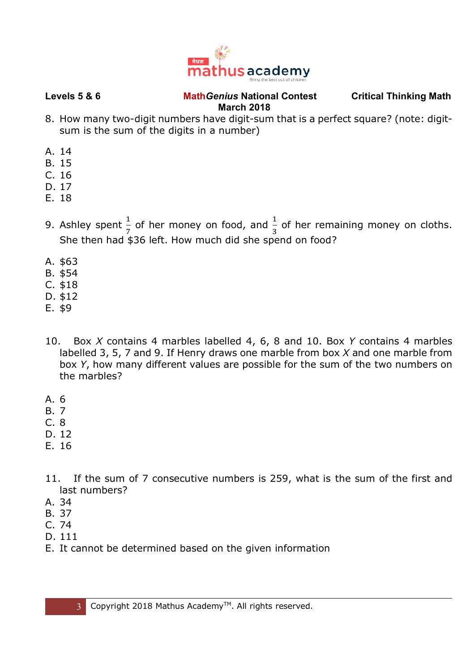

- 8. How many two-digit numbers have digit-sum that is a perfect square? (note: digitsum is the sum of the digits in a number)
- A. 14
- B. 15
- C. 16
- D. 17
- E. 18
- 9. Ashley spent  $\frac{1}{7}$  of her money on food, and  $\frac{1}{3}$  of her remaining money on cloths. She then had \$36 left. How much did she spend on food?
- A. \$63
- B. \$54
- C. \$18
- D. \$12
- E. \$9
- 10. Box *X* contains 4 marbles labelled 4, 6, 8 and 10. Box *Y* contains 4 marbles labelled 3, 5, 7 and 9. If Henry draws one marble from box *X* and one marble from box *Y*, how many different values are possible for the sum of the two numbers on the marbles?
- A. 6
- B. 7
- C. 8
- D. 12
- E. 16
- 11. If the sum of 7 consecutive numbers is 259, what is the sum of the first and last numbers?
- A. 34
- B. 37
- C. 74
- D. 111
- E. It cannot be determined based on the given information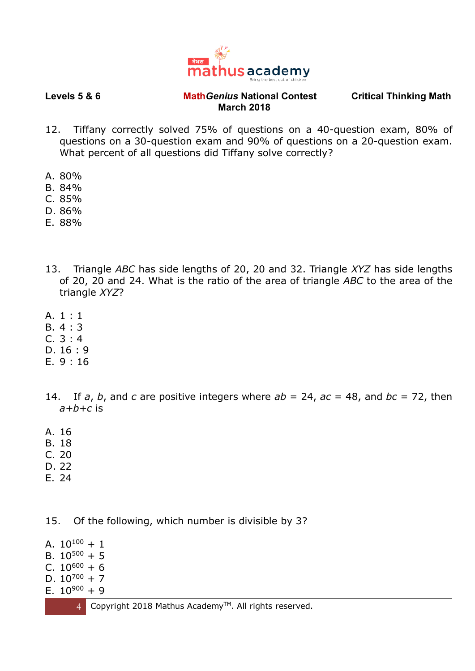

- 12. Tiffany correctly solved 75% of questions on a 40-question exam, 80% of questions on a 30-question exam and 90% of questions on a 20-question exam. What percent of all questions did Tiffany solve correctly?
- A. 80%
- B. 84%
- C. 85%
- D. 86%
- E. 88%
- 13. Triangle *ABC* has side lengths of 20, 20 and 32. Triangle *XYZ* has side lengths of 20, 20 and 24. What is the ratio of the area of triangle *ABC* to the area of the triangle *XYZ*?
- A. 1 : 1
- B. 4 : 3
- C. 3 : 4
- D. 16 : 9
- E. 9 : 16
- 14. If *a*, *b*, and *c* are positive integers where *ab* = 24, *ac* = 48, and *bc* = 72, then *a+b+c* is
- A. 16
- B. 18
- C. 20
- D. 22
- E. 24
- 15. Of the following, which number is divisible by 3?

A.  $10^{100} + 1$ B.  $10^{500} + 5$ C.  $10^{600} + 6$ D.  $10^{700} + 7$ E.  $10^{900} + 9$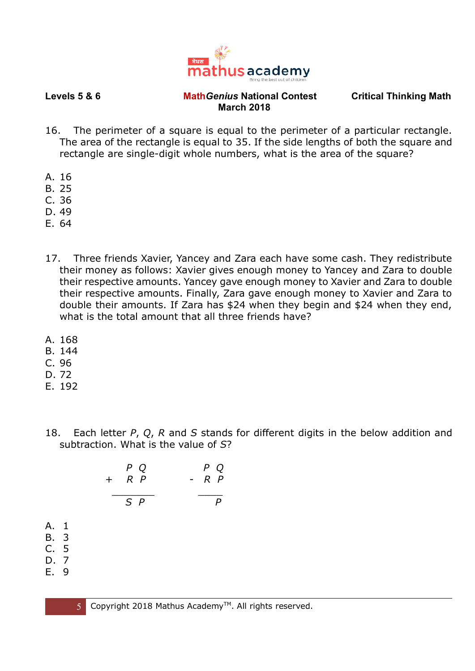

- 16. The perimeter of a square is equal to the perimeter of a particular rectangle. The area of the rectangle is equal to 35. If the side lengths of both the square and rectangle are single-digit whole numbers, what is the area of the square?
- A. 16
- B. 25
- C. 36
- D. 49
- E. 64
- 17. Three friends Xavier, Yancey and Zara each have some cash. They redistribute their money as follows: Xavier gives enough money to Yancey and Zara to double their respective amounts. Yancey gave enough money to Xavier and Zara to double their respective amounts. Finally, Zara gave enough money to Xavier and Zara to double their amounts. If Zara has \$24 when they begin and \$24 when they end, what is the total amount that all three friends have?
- A. 168
- B. 144
- C. 96
- D. 72
- E. 192
- 18. Each letter *P*, *Q*, *R* and *S* stands for different digits in the below addition and subtraction. What is the value of *S*?

|                                                | P Q<br>$R$ $P$<br>$+$ | $P$ Q<br>$R$ $P$<br>$\overline{\phantom{a}}$ |
|------------------------------------------------|-----------------------|----------------------------------------------|
|                                                | $S$ $P$               |                                              |
| A. 1<br><b>B.</b> 3<br>C. 5<br>D. 7<br>Е.<br>9 |                       |                                              |